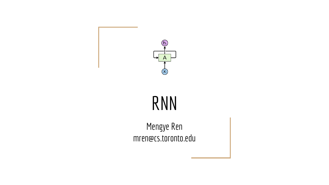

#### RNN

Mengye Ren mren@cs.toronto.edu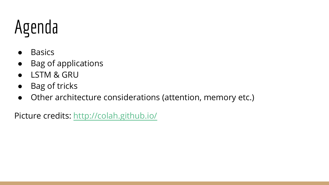#### Agenda

- Basics
- Bag of applications
- LSTM & GRU
- Bag of tricks
- Other architecture considerations (attention, memory etc.)

Picture credits: <http://colah.github.io/>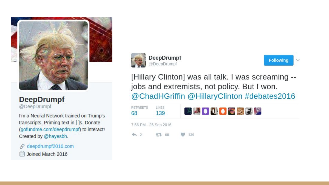

#### **DeepDrumpf** @DeepDrumpf

I'm a Neural Network trained on Trump's transcripts. Priming text in []s. Donate (gofundme.com/deepdrumpf) to interact! Created by @hayesbh.

deepdrumpf2016.com S. Joined March 2016







[Hillary Clinton] was all talk. I was screaming -jobs and extremists, not policy. But I won. @ChadHGriffin @HillaryClinton #debates2016

| <b>RETWEETS</b><br>68 | <b>IKES</b><br>139 | <b>XAO (10 CERT)</b> |
|-----------------------|--------------------|----------------------|
| 7:56 PM - 26 Sep 2016 |                    |                      |
| $\leftrightarrow$ 2   | 47 68              | $\frac{1}{2}$ 139    |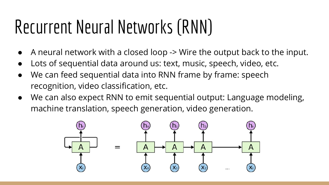#### Recurrent Neural Networks (RNN)

- A neural network with a closed loop -> Wire the output back to the input.
- Lots of sequential data around us: text, music, speech, video, etc.
- We can feed sequential data into RNN frame by frame: speech recognition, video classification, etc.
- We can also expect RNN to emit sequential output: Language modeling, machine translation, speech generation, video generation.

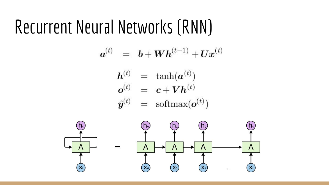#### Recurrent Neural Networks (RNN)

-1

$$
\boldsymbol{a}^{(t)} \hspace{2mm} = \hspace{2mm} \boldsymbol{b} + \boldsymbol{W} \boldsymbol{h}^{(t-1)} + \boldsymbol{U} \boldsymbol{x}^{(t)}
$$

$$
\begin{array}{rcl}\n\bm{h}^{(t)} & = & \tanh(\bm{a}^{(t)}) \\
\bm{o}^{(t)} & = & \bm{c} + \bm{V}\bm{h}^{(t)} \\
\hat{\bm{y}}^{(t)} & = & \text{softmax}(\bm{o}^{(t)})\n\end{array}
$$

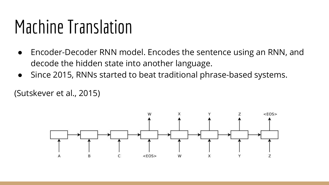#### Machine Translation

- Encoder-Decoder RNN model. Encodes the sentence using an RNN, and decode the hidden state into another language.
- Since 2015, RNNs started to beat traditional phrase-based systems.

(Sutskever et al., 2015)

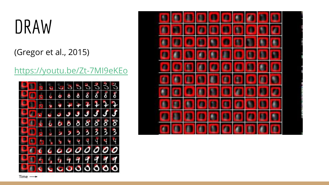#### DRAW

(Gregor et al., 2015)

<https://youtu.be/Zt-7MI9eKEo>



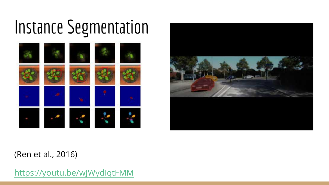#### Instance Segmentation





#### (Ren et al., 2016)

<https://youtu.be/wJWydIqtFMM>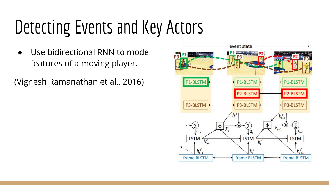#### Detecting Events and Key Actors

Use bidirectional RNN to model features of a moving player.

(Vignesh Ramanathan et al., 2016)

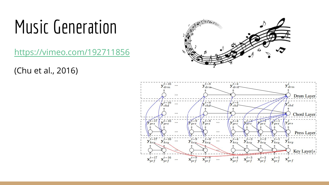#### Music Generation

<https://vimeo.com/192711856>

(Chu et al., 2016)



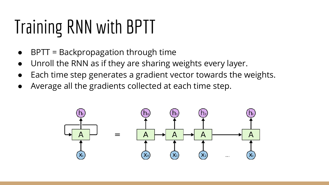# Training RNN with BPTT

- $BPTT = Backpropagation through time$
- Unroll the RNN as if they are sharing weights every layer.
- Each time step generates a gradient vector towards the weights.
- Average all the gradients collected at each time step.

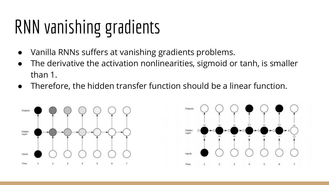#### RNN vanishing gradients

- Vanilla RNNs suffers at vanishing gradients problems.
- The derivative the activation nonlinearities, sigmoid or tanh, is smaller than 1.
- Therefore, the hidden transfer function should be a linear function.



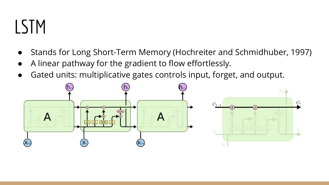#### LSTM

- Stands for Long Short-Term Memory (Hochreiter and Schmidhuber, 1997)
- A linear pathway for the gradient to flow effortlessly.
- Gated units: multiplicative gates controls input, forget, and output.

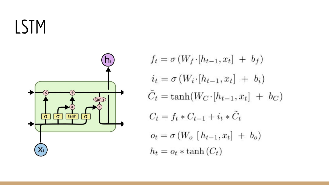#### LSTM



 $f_t = \sigma(W_f \cdot [h_{t-1}, x_t] + b_f)$  $i_t = \sigma(W_i \cdot [h_{t-1}, x_t] + b_i)$  $\tilde{C}_t = \tanh(W_C \cdot [h_{t-1}, x_t] + b_C)$  $C_t = f_t * C_{t-1} + i_t * \tilde{C}_t$  $o_t = \sigma(W_o [h_{t-1}, x_t] + b_o)$  $h_t = o_t * \tanh(C_t)$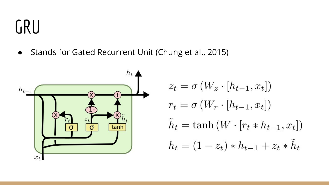#### GRU

● Stands for Gated Recurrent Unit (Chung et al., 2015)



$$
z_t = \sigma(W_z \cdot [h_{t-1}, x_t])
$$
  
\n
$$
r_t = \sigma(W_r \cdot [h_{t-1}, x_t])
$$
  
\n
$$
\tilde{h}_t = \tanh(W \cdot [r_t * h_{t-1}, x_t])
$$
  
\n
$$
h_t = (1 - z_t) * h_{t-1} + z_t * \tilde{h}_t
$$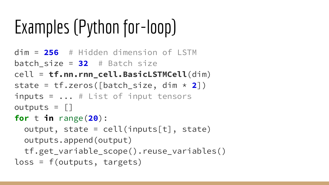## Examples (Python for-loop)

```
dim = 256 # Hidden dimension of LSTM
batch size = 32 # Batch size
cell = tf.nn.rnn_cell.BasicLSTMCell(dim)
state = tf.zeros([batch_size, dim * 2])
inputs = ... # List of input tensors
outputs = |for t in range(20):
  output, state = cell(inputsft], state) outputs.append(output)
   tf.get_variable_scope().reuse_variables()
loss = f(outputs, targets)
```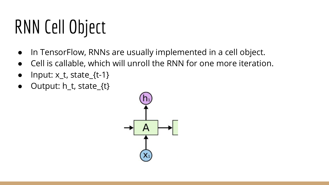#### RNN Cell Object

- In TensorFlow, RNNs are usually implemented in a cell object.
- Cell is callable, which will unroll the RNN for one more iteration.
- $\bullet$  Input:  $x_t$ , state\_{t-1}
- Output: h\_t, state\_{t}

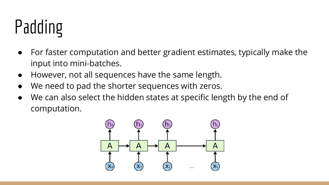# Padding

- For faster computation and better gradient estimates, typically make the input into mini-batches.
- However, not all sequences have the same length.
- We need to pad the shorter sequences with zeros.
- We can also select the hidden states at specific length by the end of computation.

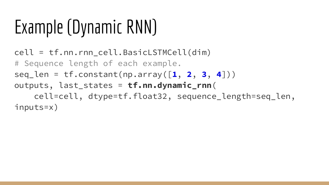### Example (Dynamic RNN)

cell = tf.nn.rnn\_cell.BasicLSTMCell(dim) # Sequence length of each example. seq\_len = tf.constant(np.array([**1**, **2**, **3**, **4**])) outputs, last\_states = **tf.nn.dynamic\_rnn**( cell=cell, dtype=tf.float32, sequence\_length=seq\_len, inputs=x)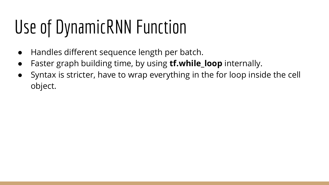## Use of DynamicRNN Function

- Handles different sequence length per batch.
- Faster graph building time, by using **tf.while\_loop** internally.
- Syntax is stricter, have to wrap everything in the for loop inside the cell object.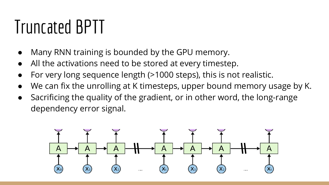#### Truncated BPTT

- Many RNN training is bounded by the GPU memory.
- All the activations need to be stored at every timestep.
- For very long sequence length (>1000 steps), this is not realistic.
- We can fix the unrolling at K timesteps, upper bound memory usage by K.
- Sacrificing the quality of the gradient, or in other word, the long-range dependency error signal.

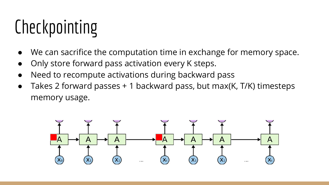## Checkpointing

- We can sacrifice the computation time in exchange for memory space.
- Only store forward pass activation every K steps.
- Need to recompute activations during backward pass
- Takes 2 forward passes + 1 backward pass, but max(K, T/K) timesteps memory usage.

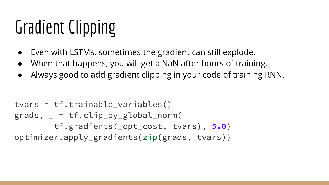## Gradient Clipping

- Even with LSTMs, sometimes the gradient can still explode.
- When that happens, you will get a NaN after hours of training.
- Always good to add gradient clipping in your code of training RNN.

```
tvars = tf.trainable_variables()
grads, = = tf.clip_by_global_norm( tf.gradients(_opt_cost, tvars), 5.0)
optimizer.apply_gradients(zip(grads, tvars))
```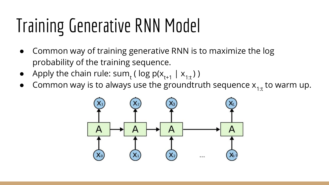## Training Generative RNN Model

- Common way of training generative RNN is to maximize the log probability of the training sequence.
- Apply the chain rule:  $sum_t (log p(x_{t+1} | x_{1:t}))$
- Common way is to always use the groundtruth sequence  $x_{1:t}$  to warm up.

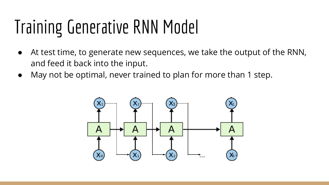## Training Generative RNN Model

- At test time, to generate new sequences, we take the output of the RNN, and feed it back into the input.
- May not be optimal, never trained to plan for more than 1 step.

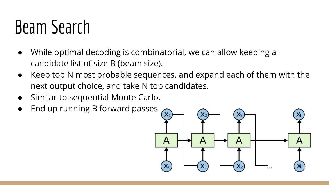#### Beam Search

- While optimal decoding is combinatorial, we can allow keeping a candidate list of size B (beam size).
- Keep top N most probable sequences, and expand each of them with the next output choice, and take N top candidates.
- Similar to sequential Monte Carlo.
- End up running B forward passes.  $\overline{(x_i)}$

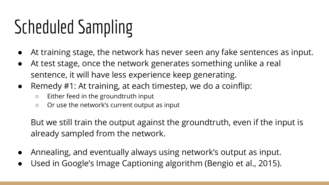## Scheduled Sampling

- At training stage, the network has never seen any fake sentences as input.
- At test stage, once the network generates something unlike a real sentence, it will have less experience keep generating.
- Remedy #1: At training, at each timestep, we do a coinflip:
	- Either feed in the groundtruth input
	- Or use the network's current output as input

But we still train the output against the groundtruth, even if the input is already sampled from the network.

- Annealing, and eventually always using network's output as input.
- Used in Google's Image Captioning algorithm (Bengio et al., 2015).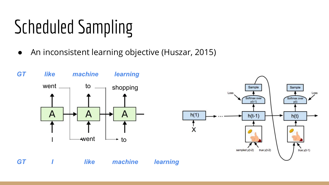## Scheduled Sampling

● An inconsistent learning objective (Huszar, 2015)





*I like* **GT** *I like machine learning*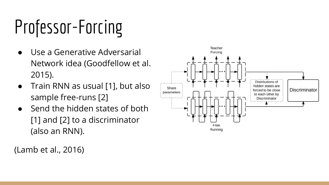# Professor-Forcing

- Use a Generative Adversarial Network idea (Goodfellow et al. 2015).
- Train RNN as usual [1], but also sample free-runs [2]
- Send the hidden states of both [1] and [2] to a discriminator (also an RNN).

(Lamb et al., 2016)

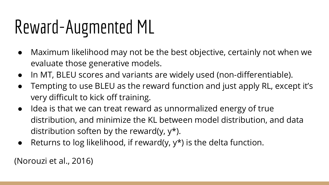#### Reward-Augmented ML

- Maximum likelihood may not be the best objective, certainly not when we evaluate those generative models.
- In MT, BLEU scores and variants are widely used (non-differentiable).
- Tempting to use BLEU as the reward function and just apply RL, except it's very difficult to kick off training.
- Idea is that we can treat reward as unnormalized energy of true distribution, and minimize the KL between model distribution, and data distribution soften by the reward(y,  $y^*$ ).
- Returns to log likelihood, if reward(y,  $y^*$ ) is the delta function.

(Norouzi et al., 2016)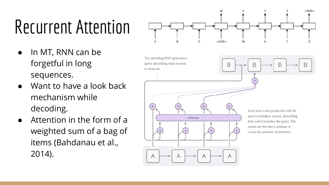## Recurrent Attention

- In MT, RNN can be forgetful in long sequences.
- Want to have a look back mechanism while decoding.
- $\bullet$  Attention in the form of a weighted sum of a bag of items (Bahdanau et al., 2014).

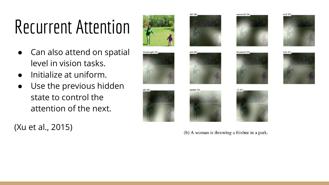#### Recurrent Attention

- Can also attend on spatial level in vision tasks.
- Initialize at uniform.
- Use the previous hidden state to control the attention of the next.

(Xu et al., 2015)





 $a(0.28)$ 







woman $(0.54)$ 







(b) A woman is throwing a frisbee in a park.



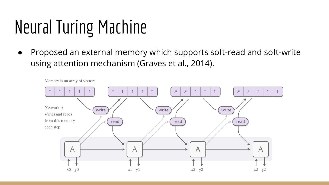## Neural Turing Machine

● Proposed an external memory which supports soft-read and soft-write using attention mechanism (Graves et al., 2014).